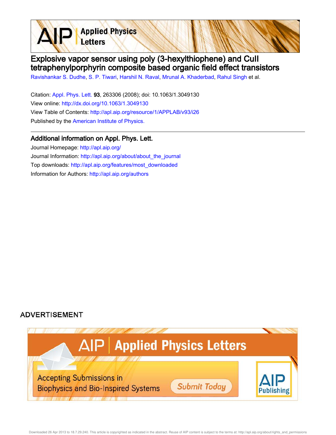**Applied Physics** Letters

## Explosive vapor sensor using poly (3-hexylthiophene) and CuII tetraphenylporphyrin composite based organic field effect transistors

Ravishankar S. Dudhe, S. P. Tiwari, Harshil N. Raval, Mrunal A. Khaderbad, Rahul Singh et al.

Citation: Appl. Phys. Lett. 93, 263306 (2008); doi: 10.1063/1.3049130 View online: http://dx.doi.org/10.1063/1.3049130 View Table of Contents: http://apl.aip.org/resource/1/APPLAB/v93/i26 Published by the American Institute of Physics.

## Additional information on Appl. Phys. Lett.

Journal Homepage: http://apl.aip.org/ Journal Information: http://apl.aip.org/about/about\_the\_journal Top downloads: http://apl.aip.org/features/most\_downloaded Information for Authors: http://apl.aip.org/authors

## **ADVERTISEMENT**

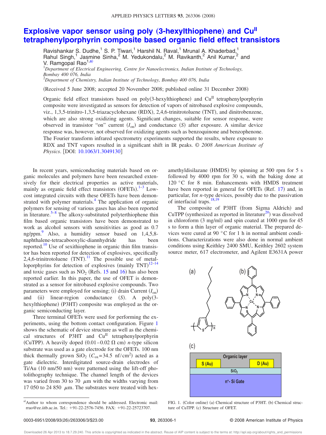## **Explosive vapor sensor using poly (3-hexylthiophene) and Cu<sup>II</sup> tetraphenylporphyrin composite based organic field effect transistors**

Ravishankar S. Dudhe,<sup>1</sup> S. P. Tiwari,<sup>1</sup> Harshil N. Raval,<sup>1</sup> Mrunal A. Khaderbad,<sup>1</sup> Rahul Singh,<sup>1</sup> Jasmine Sinha,<sup>2</sup> M. Yedukondalu,<sup>2</sup> M. Ravikanth,<sup>2</sup> Anil Kumar,<sup>2</sup> and V. Ramgopal Rao<sup>1,a)</sup>

<sup>1</sup>*Department of Electrical Engineering, Centre for Nanoelectronics, Indian Institute of Technology, Bombay 400 076, India*

<sup>2</sup>*Department of Chemistry, Indian Institute of Technology, Bombay 400 076, India*

(Received 5 June 2008; accepted 20 November 2008; published online 31 December 2008)

Organic field effect transistors based on poly(3-hexylthiophene) and Cu<sup>II</sup> tetraphenylporphyrin composite were investigated as sensors for detection of vapors of nitrobased explosive compounds, viz., 1,3,5-trinitro-1,3,5-triazacyclohexane (RDX), 2,4,6-trinitrotoluene (TNT), and dinitrobenzene, which are also strong oxidizing agents. Significant changes, suitable for sensor response, were observed in transistor "on" current  $(I_{on})$  and conductance  $(S)$  after exposure. A similar device response was, however, not observed for oxidizing agents such as benzoquinone and benzophenone. The Fourier transform infrared spectrometry experiments supported the results, where exposure to RDX and TNT vapors resulted in a significant shift in IR peaks. © *2008 American Institute of Physics*. [DOI: 10.1063/1.3049130]

In recent years, semiconducting materials based on organic molecules and polymers have been researched extensively for their electrical properties as active materials, mainly as organic field effect transistors (OFETs).<sup>1-3</sup> Lowcost integrated circuits with these OFETs have been demonstrated with polymer materials.<sup>4</sup> The application of organic polymers for sensing of various gases has also been reported in literature.<sup>5-8</sup> The alkoxy-substituted polyterthiophene thin film based organic transistors have been demonstrated to work as alcohol sensors with sensitivities as good as 0.7 ng/ppm.<sup>9</sup> Also, a humidity sensor based on  $1,4,5,8$ naphthalene-tetracabooxylic-diannhydride has been reported.<sup>10</sup> Use of sexithiophene in organic thin film transistor has been reported for detection of explosives, specifically 2,4,6-trinitrotoluene  $(TNT)$ .<sup>11</sup> The possible use of metalloporphyrins for detection of explosives (mainly  $TNT$ )<sup>12-14</sup> and toxic gases such as  $NO<sub>2</sub>$  (Refs. 15 and 16) has also been reported earlier. In this paper, the use of OFET is demonstrated as a sensor for nitrobased explosive compounds. Two parameters were employed for sensing; (i) drain Current *(I*<sub>on</sub>) and (ii) linear-region conductance *(S)*. A poly(3hexylthiophene) (P3HT) composite was employed as the organic semiconducting layer.

Three terminal OFETs were used for performing the experiments, using the bottom contact configuration. Figure 1 shows the schematic of device structure as well as the chemical structures of P3HT and Cu<sup>II</sup> tetraphenylporphyrin (CuTPP). A heavily doped  $(0.01-0.02 \Omega \text{ cm})$  *n*-type silicon substrate was used as a gate electrode for the OFETs. 100 nm thick thermally grown  $SiO_2$  ( $C_{ox} = 34.5$  nf/cm<sup>2</sup>) acted as a gate dielectric. Interdigitated source-drain electrodes of Ti/Au (10 nm/50 nm) were patterned using the lift-off photolithography technique. The channel length of the devices was varied from 30 to 70  $\mu$ m with the widths varying from 17 050 to 24 850  $\mu$ m. The substrates were treated with hex-

amethyldisilazane (HMDS) by spinning at 500 rpm for 5 s followed by 4000 rpm for 30 s, with the baking done at 120 °C for 8 min. Enhancements with HMDS treatment have been reported in general for OFETs (Ref. 17) and, in particular, for *n*-type devices, possibly due to the passivation of interfacial traps. $18,19$ 

The composite of P3HT (from Sigma Aldrich) and CuTPP (synthesized as reported in literature<sup>20</sup>) was dissolved in chloroform (3 mg/ml) and spin coated at 1000 rpm for 45 s to form a thin layer of organic material. The prepared devices were cured at 90 °C for 1 h in normal ambient conditions. Characterizations were also done in normal ambient conditions using Keithley 2400 SMU, Keithley 2602 system source meter, 617 electrometer, and Agilent E3631A power



FIG. 1. (Color online) (a) Chemical structure of P3HT. (b) Chemical structure of CuTPP. (c) Structure of OFET.

a)Author to whom correspondence should be addressed. Electronic mail: rrao@ee.iitb.ac.in. Tel.: +91-22-2576-7456. FAX: +91-22-25723707.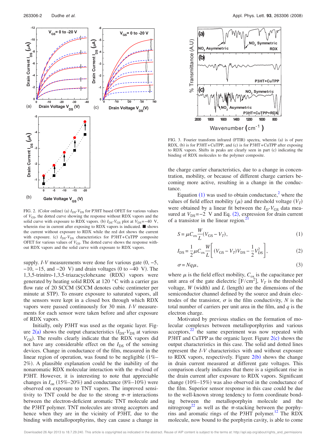

FIG. 2. (Color online) (a)  $I_{DS}$ - $V_{DS}$  for P3HT based OFET for various values of  $V_{\text{GS}}$ , the dotted curve showing the response without RDX vapors and the solid curve with exposure to RDX vapors. (b)  $I_{DS}$ - $V_{GS}$  plot at  $V_{DS}$ =−40 V, wherein rise in current after exposing to RDX vapors is indicated.  $\blacksquare$  shows the current without exposure to RDX while the red dot shows the current with exposure. (c)  $I_{DS}$ - $V_{DS}$  characteristics for P3HT+CuTPP composite OFET for various values of  $V_{GS}$ . The dotted curve shows the response without RDX vapors and the solid curve with exposure to RDX vapors.

supply. *I*-*V* measurements were done for various gate  $(0, -5,$  $-10$ ,  $-15$ , and  $-20$  V) and drain voltages (0 to  $-40$  V). The 1,3,5-trinitro-1,3,5-triazacyclohexane (RDX) vapors were generated by heating solid RDX at 120 °C with a carrier gas flow rate of 20 SCCM (SCCM denotes cubic centimeter per minute at STP). To ensure exposure to saturated vapors, all the sensors were kept in a closed box through which RDX vapors were passed continuously for 30 min. *I*-*V* measurements for each sensor were taken before and after exposure of RDX vapors.

Initially, only P3HT was used as the organic layer. Figure  $2(a)$  shows the output characteristics  $(I_{DS} - V_{DS})$  at various  $V_{GS}$ ). The results clearly indicate that the RDX vapors did not have any considerable effect on the  $I_{DS}$  of the sensing devices. Change in conductance of the film, measured in the linear region of operation, was found to be negligible  $(1\% -$ 2%). A plausible explanation could be the inability of the nonaromatic RDX molecular interaction with the  $\pi$ -cloud of P3HT. However, it is interesting to note that appreciable changes in  $I_{on}$  (15%–20%) and conductance (8%–10%) were observed on exposure to TNT vapors. The improved sensitivity to TNT could be due to the strong  $\pi$ - $\pi$  interactions between the electron-deficient aromatic TNT molecule and the P3HT polymer. TNT molecules are strong acceptors and hence when they are in the vicinity of P3HT, due to the binding with metalloporphyrins, they can cause a change in



FIG. 3. Fourier transform infrared (FTIR) spectra, wherein (a) is of pure RDX, (b) is for P3HT+CuTPP, and (c) is for P3HT+CuTPP after exposing to RDX vapors. Shifts in peaks are clearly seen in part (c) indicating the binding of RDX molecules to the polymer composite.

the charge carrier characteristics, due to a change in concentration, mobility, or because of different charge carriers becoming more active, resulting in a change in the conductance.

Equation  $(1)$  was used to obtain conductance,<sup>2</sup> where the values of field effect mobility  $(\mu)$  and threshold voltage  $(V_T)$ were obtained by a linear fit between the  $I_D-V_{GS}$  data measured at  $V_{DS}=-2$  V and Eq. (2), expression for drain current of a transistor in the linear region.<sup>2</sup>

$$
S = \mu C_{ox} \frac{W}{L} (V_{GS} - V_T), \qquad (1)
$$

$$
I_{\rm DS} = \frac{1}{2} \mu C_{ox} \frac{W}{L} \bigg[ (V_{\rm GS} - V_T) V_{\rm DS} - \frac{1}{2} V_{\rm DS}^2 \bigg],\tag{2}
$$

$$
\sigma = Nq\mu,\tag{3}
$$

where  $\mu$  is the field effect mobility,  $C_{\text{ox}}$  is the capacitance per unit area of the gate dielectric  $[F/cm^2]$ ,  $V_T$  is the threshold voltage,  $W$  (width) and  $L$  (length) are the dimensions of the semiconductor channel defined by the source and drain electrodes of the transistor,  $\sigma$  is the film conductivity,  $N$  is the total number of carriers per unit area in the film, and *q* is the electron charge.

Motivated by previous studies on the formation of molecular complexes between metalloporphyrins and various  $acceptors, <sup>22</sup>$  the same experiment was now repeated with P3HT and CuTPP as the organic layer. Figure  $2(c)$  shows the output characteristics in this case. The solid and dotted lines represent the *I*-*V* characteristics with and without exposure to RDX vapors, respectively. Figure  $2(b)$  shows the change in drain current measured at different gate voltages. This comparison clearly indicates that there is a significant rise in the drain current after exposure to RDX vapors. Significant change  $(10\% - 15\%)$  was also observed in the conductance of the film. Superior sensor response in this case could be due to the well-known strong tendency to form coordinate bonding between the metalloporphyin molecule and the nitrogroup<sup>22</sup> as well as the  $\pi$ -stacking between the porphyrins and aromatic rings of the P3HT polymer.<sup>12</sup> The RDX molecule, now bound to the porphyrin cavity, is able to come